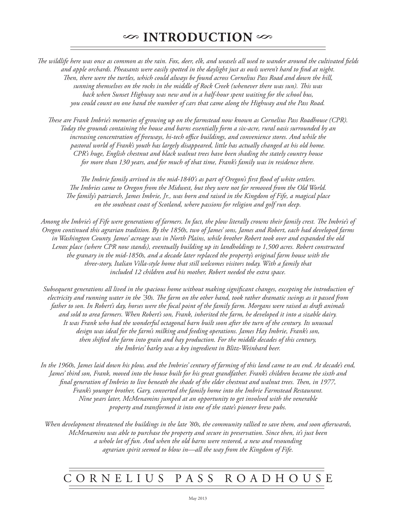*The wildlife here was once as common as the rain. Fox, deer, elk, and weasels all used to wander around the cultivated fields and apple orchards. Pheasants were easily spotted in the daylight just as owls weren't hard to find at night. Then, there were the turtles, which could always be found across Cornelius Pass Road and down the hill, sunning themselves on the rocks in the middle of Rock Creek (whenever there was sun). This was back when Sunset Highway was new and in a half-hour spent waiting for the school bus, you could count on one hand the number of cars that came along the Highway and the Pass Road.*

*These are Frank Imbrie's memories of growing up on the farmstead now known as Cornelius Pass Roadhouse (CPR). Today the grounds containing the house and barns essentially form a six-acre, rural oasis surrounded by an increasing concentration of freeways, hi-tech office buildings, and convenience stores. And while the pastoral world of Frank's youth has largely disappeared, little has actually changed at his old home. CPR's huge, English chestnut and black walnut trees have been shading the stately country house for more than 130 years, and for much of that time, Frank's family was in residence there.* 

*The Imbrie family arrived in the mid-1840's as part of Oregon's first flood of white settlers. The Imbries came to Oregon from the Midwest, but they were not far removed from the Old World. The family's patriarch, James Imbrie, Jr., was born and raised in the Kingdom of Fife, a magical place on the southeast coast of Scotland, where passions for religion and golf run deep.*

*Among the Imbrie's of Fife were generations of farmers. In fact, the plow literally crowns their family crest. The Imbrie's of Oregon continued this agrarian tradition. By the 1850s, two of James' sons, James and Robert, each had developed farms in Washington County. James' acreage was in North Plains, while brother Robert took over and expanded the old Lenox place (where CPR now stands), eventually building up its landholdings to 1,500 acres. Robert constructed the granary in the mid-1850s, and a decade later replaced the property's original farm house with the three-story, Italian Villa-style home that still welcomes visitors today. With a family that included 12 children and his mother, Robert needed the extra space.*

*Subsequent generations all lived in the spacious home without making significant changes, excepting the introduction of electricity and running water in the '30s. The farm on the other hand, took rather dramatic swings as it passed from father to son. In Robert's day, horses were the focal point of the family farm. Morgans were raised as draft animals and sold to area farmers. When Robert's son, Frank, inherited the farm, he developed it into a sizable dairy. It was Frank who had the wonderful octagonal barn built soon after the turn of the century. Its unusual design was ideal for the farm's milking and feeding operations. James Hay Imbrie, Frank's son, then shifted the farm into grain and hay production. For the middle decades of this century, the Imbries' barley was a key ingredient in Blitz-Weinhard beer.*

*In the 1960s, James laid down his plow, and the Imbries' century of farming of this land came to an end. At decade's end, James' third son, Frank, moved into the house built for his great grandfather. Frank's children became the sixth and final generation of Imbries to live beneath the shade of the elder chestnut and walnut trees. Then, in 1977, Frank's younger brother, Gary, converted the family home into the Imbrie Farmstead Restaurant. Nine years later, McMenamins jumped at an opportunity to get involved with the venerable property and transformed it into one of the state's pioneer brew pubs.*

*When development threatened the buildings in the late '80s, the community rallied to save them, and soon afterwards, McMenamins was able to purchase the property and secure its preservation. Since then, it's just been a whole lot of fun. And when the old barns were restored, a new and resounding agrarian spirit seemed to blow in—all the way from the Kingdom of Fife.*

## cornelius pass roadhouse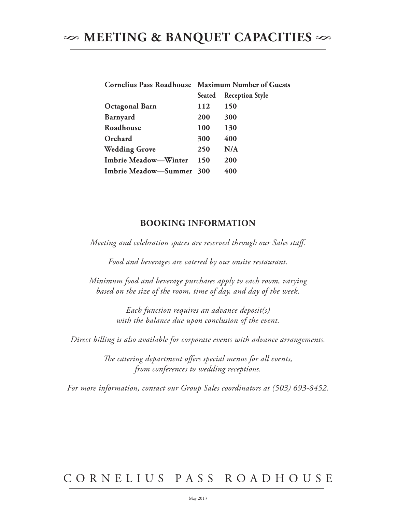|                             | <b>Cornelius Pass Roadhouse Maximum Number of Guests</b> |                        |
|-----------------------------|----------------------------------------------------------|------------------------|
|                             | Seated                                                   | <b>Reception Style</b> |
| <b>Octagonal Barn</b>       | 112                                                      | 150                    |
| <b>Barnyard</b>             | <b>200</b>                                               | 300                    |
| Roadhouse                   | 100                                                      | 130                    |
| Orchard                     | 300                                                      | 400                    |
| <b>Wedding Grove</b>        | 250                                                      | N/A                    |
| <b>Imbrie Meadow-Winter</b> | 150                                                      | <b>200</b>             |
| Imbrie Meadow-Summer 300    |                                                          | 400                    |

## **Booking Information**

*Meeting and celebration spaces are reserved through our Sales staff.* 

*Food and beverages are catered by our onsite restaurant.*

*Minimum food and beverage purchases apply to each room, varying based on the size of the room, time of day, and day of the week.*

> *Each function requires an advance deposit(s) with the balance due upon conclusion of the event.*

*Direct billing is also available for corporate events with advance arrangements.* 

*The catering department offers special menus for all events, from conferences to wedding receptions.*

*For more information, contact our Group Sales coordinators at (503) 693-8452.*

## cornelius pass roadhouse